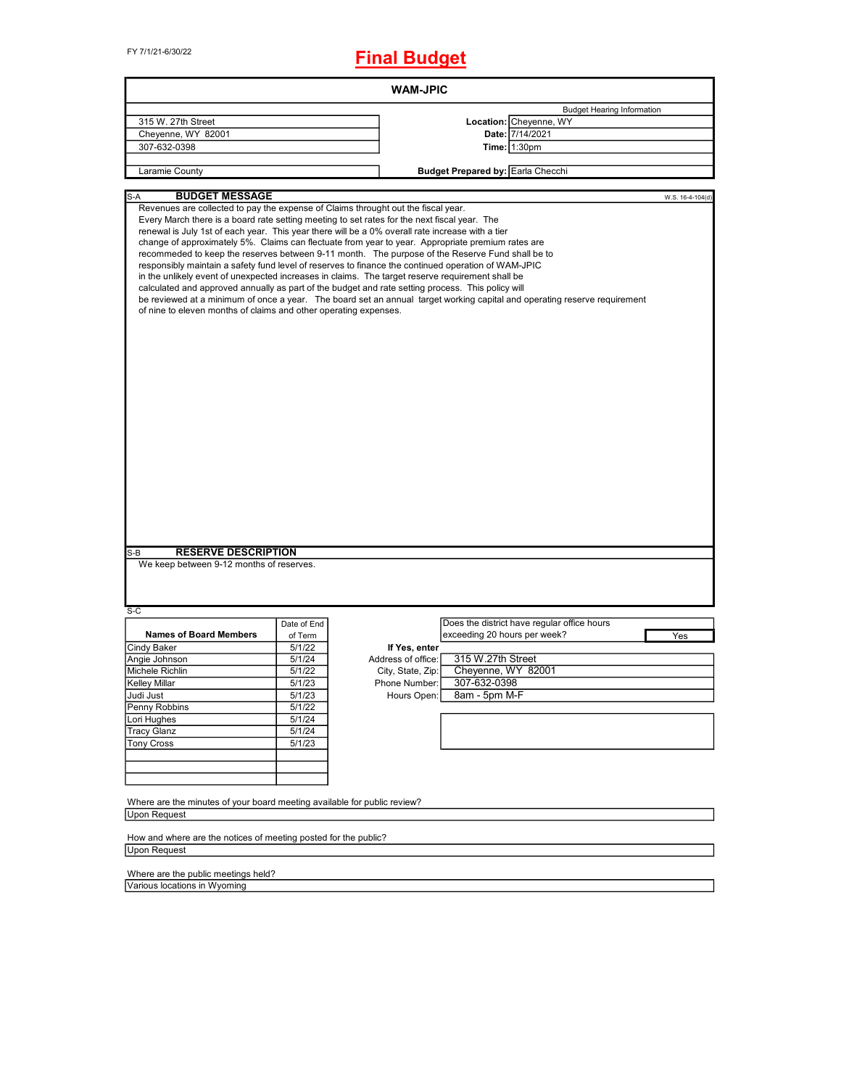FY 7/1/21-6/30/22

# **Final Budget**

| <b>WAM-JPIC</b>                                                                                                                                                                                                                        |                                                             |                                                                                                                                                                                                                                                                                                                                                                                                                                                                                                                                                                                                                                                                                                                                                                                                                                                       |  |  |  |  |  |  |
|----------------------------------------------------------------------------------------------------------------------------------------------------------------------------------------------------------------------------------------|-------------------------------------------------------------|-------------------------------------------------------------------------------------------------------------------------------------------------------------------------------------------------------------------------------------------------------------------------------------------------------------------------------------------------------------------------------------------------------------------------------------------------------------------------------------------------------------------------------------------------------------------------------------------------------------------------------------------------------------------------------------------------------------------------------------------------------------------------------------------------------------------------------------------------------|--|--|--|--|--|--|
| 315 W. 27th Street                                                                                                                                                                                                                     | <b>Budget Hearing Information</b><br>Location: Cheyenne, WY |                                                                                                                                                                                                                                                                                                                                                                                                                                                                                                                                                                                                                                                                                                                                                                                                                                                       |  |  |  |  |  |  |
| Cheyenne, WY 82001                                                                                                                                                                                                                     |                                                             | Date: 7/14/2021                                                                                                                                                                                                                                                                                                                                                                                                                                                                                                                                                                                                                                                                                                                                                                                                                                       |  |  |  |  |  |  |
| 307-632-0398                                                                                                                                                                                                                           |                                                             | <b>Time: 1:30pm</b>                                                                                                                                                                                                                                                                                                                                                                                                                                                                                                                                                                                                                                                                                                                                                                                                                                   |  |  |  |  |  |  |
|                                                                                                                                                                                                                                        |                                                             |                                                                                                                                                                                                                                                                                                                                                                                                                                                                                                                                                                                                                                                                                                                                                                                                                                                       |  |  |  |  |  |  |
| Laramie County                                                                                                                                                                                                                         |                                                             | <b>Budget Prepared by: Earla Checchi</b>                                                                                                                                                                                                                                                                                                                                                                                                                                                                                                                                                                                                                                                                                                                                                                                                              |  |  |  |  |  |  |
| <b>BUDGET MESSAGE</b><br>S-A                                                                                                                                                                                                           |                                                             | W.S. 16-4-104(d)                                                                                                                                                                                                                                                                                                                                                                                                                                                                                                                                                                                                                                                                                                                                                                                                                                      |  |  |  |  |  |  |
| Revenues are collected to pay the expense of Claims throught out the fiscal year.<br>of nine to eleven months of claims and other operating expenses.<br><b>RESERVE DESCRIPTION</b><br>S-B<br>We keep between 9-12 months of reserves. |                                                             | Every March there is a board rate setting meeting to set rates for the next fiscal year. The<br>renewal is July 1st of each year. This year there will be a 0% overall rate increase with a tier<br>change of approximately 5%. Claims can flectuate from year to year. Appropriate premium rates are<br>recommeded to keep the reserves between 9-11 month. The purpose of the Reserve Fund shall be to<br>responsibly maintain a safety fund level of reserves to finance the continued operation of WAM-JPIC<br>in the unlikely event of unexpected increases in claims. The target reserve requirement shall be<br>calculated and approved annually as part of the budget and rate setting process. This policy will<br>be reviewed at a minimum of once a year. The board set an annual target working capital and operating reserve requirement |  |  |  |  |  |  |
| $S-C$                                                                                                                                                                                                                                  |                                                             |                                                                                                                                                                                                                                                                                                                                                                                                                                                                                                                                                                                                                                                                                                                                                                                                                                                       |  |  |  |  |  |  |
|                                                                                                                                                                                                                                        | Date of End                                                 | Does the district have regular office hours                                                                                                                                                                                                                                                                                                                                                                                                                                                                                                                                                                                                                                                                                                                                                                                                           |  |  |  |  |  |  |
| <b>Names of Board Members</b>                                                                                                                                                                                                          | of Term                                                     | exceeding 20 hours per week?<br>Yes                                                                                                                                                                                                                                                                                                                                                                                                                                                                                                                                                                                                                                                                                                                                                                                                                   |  |  |  |  |  |  |
| Cindy Baker                                                                                                                                                                                                                            | 5/1/22                                                      | If Yes, enter                                                                                                                                                                                                                                                                                                                                                                                                                                                                                                                                                                                                                                                                                                                                                                                                                                         |  |  |  |  |  |  |
| Angie Johnson                                                                                                                                                                                                                          | 5/1/24                                                      | 315 W.27th Street<br>Address of office:                                                                                                                                                                                                                                                                                                                                                                                                                                                                                                                                                                                                                                                                                                                                                                                                               |  |  |  |  |  |  |
| Michele Richlin                                                                                                                                                                                                                        | 5/1/22                                                      | Cheyenne, WY 82001<br>City, State, Zip:                                                                                                                                                                                                                                                                                                                                                                                                                                                                                                                                                                                                                                                                                                                                                                                                               |  |  |  |  |  |  |
| <b>Kelley Millar</b>                                                                                                                                                                                                                   | 5/1/23                                                      | 307-632-0398<br>Phone Number:                                                                                                                                                                                                                                                                                                                                                                                                                                                                                                                                                                                                                                                                                                                                                                                                                         |  |  |  |  |  |  |
| Judi Just                                                                                                                                                                                                                              | 5/1/23                                                      | Hours Open:<br>8am - 5pm M-F                                                                                                                                                                                                                                                                                                                                                                                                                                                                                                                                                                                                                                                                                                                                                                                                                          |  |  |  |  |  |  |
| Penny Robbins                                                                                                                                                                                                                          | 5/1/22                                                      |                                                                                                                                                                                                                                                                                                                                                                                                                                                                                                                                                                                                                                                                                                                                                                                                                                                       |  |  |  |  |  |  |
| Lori Hughes                                                                                                                                                                                                                            | 5/1/24                                                      |                                                                                                                                                                                                                                                                                                                                                                                                                                                                                                                                                                                                                                                                                                                                                                                                                                                       |  |  |  |  |  |  |
| <b>Tracy Glanz</b>                                                                                                                                                                                                                     | 5/1/24                                                      |                                                                                                                                                                                                                                                                                                                                                                                                                                                                                                                                                                                                                                                                                                                                                                                                                                                       |  |  |  |  |  |  |
| <b>Tony Cross</b>                                                                                                                                                                                                                      | 5/1/23                                                      |                                                                                                                                                                                                                                                                                                                                                                                                                                                                                                                                                                                                                                                                                                                                                                                                                                                       |  |  |  |  |  |  |
|                                                                                                                                                                                                                                        |                                                             |                                                                                                                                                                                                                                                                                                                                                                                                                                                                                                                                                                                                                                                                                                                                                                                                                                                       |  |  |  |  |  |  |
| Where are the minutes of your board meeting available for public review?<br><b>Upon Request</b>                                                                                                                                        |                                                             |                                                                                                                                                                                                                                                                                                                                                                                                                                                                                                                                                                                                                                                                                                                                                                                                                                                       |  |  |  |  |  |  |
| How and where are the notices of meeting posted for the public?<br><b>Upon Request</b>                                                                                                                                                 |                                                             |                                                                                                                                                                                                                                                                                                                                                                                                                                                                                                                                                                                                                                                                                                                                                                                                                                                       |  |  |  |  |  |  |
|                                                                                                                                                                                                                                        |                                                             |                                                                                                                                                                                                                                                                                                                                                                                                                                                                                                                                                                                                                                                                                                                                                                                                                                                       |  |  |  |  |  |  |
| Where are the public meetings held?<br>Various locations in Wyoming                                                                                                                                                                    |                                                             |                                                                                                                                                                                                                                                                                                                                                                                                                                                                                                                                                                                                                                                                                                                                                                                                                                                       |  |  |  |  |  |  |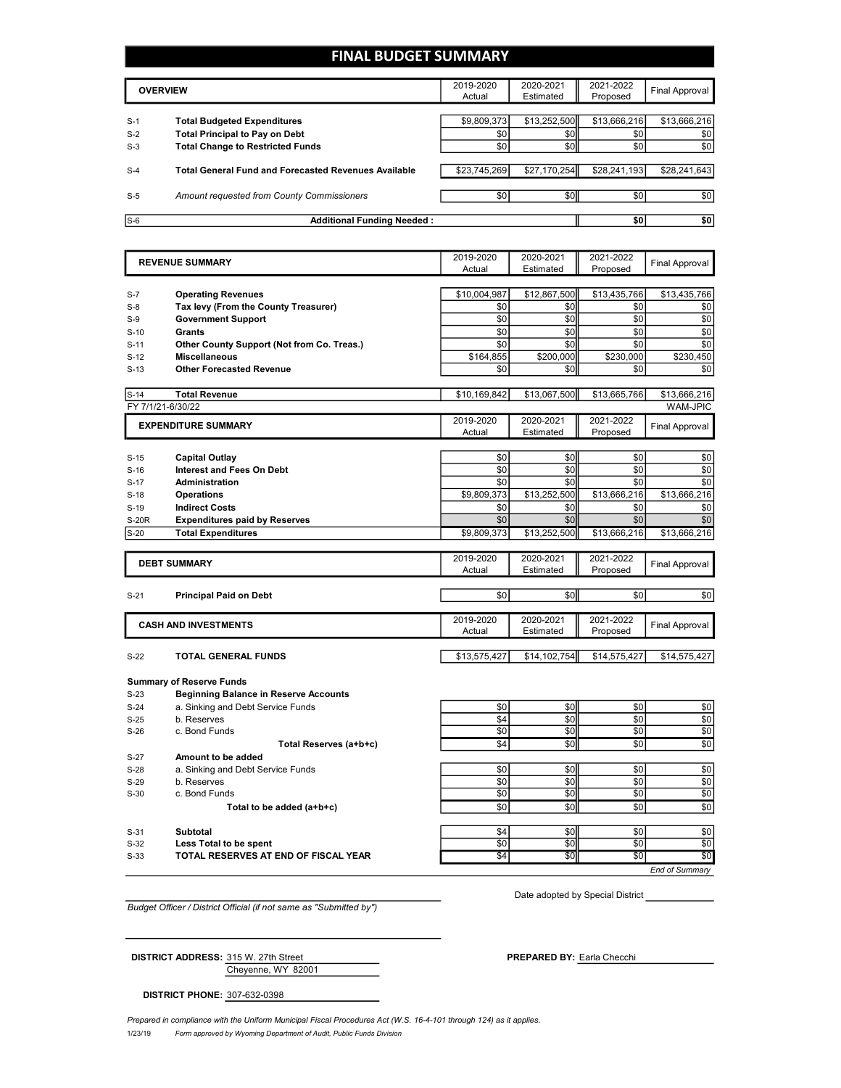## **FINAL BUDGET SUMMARY**

|       | <b>OVERVIEW</b>                                             | 2019-2020<br>Actual | 2020-2021<br>Estimated | 2021-2022<br>Proposed | Final Approval |
|-------|-------------------------------------------------------------|---------------------|------------------------|-----------------------|----------------|
|       |                                                             |                     |                        |                       |                |
| $S-1$ | <b>Total Budgeted Expenditures</b>                          | \$9,809,373         | \$13,252,500           | \$13,666,216          | \$13,666,216   |
| $S-2$ | <b>Total Principal to Pay on Debt</b>                       | \$0                 | \$0                    | \$0                   | \$0            |
| $S-3$ | <b>Total Change to Restricted Funds</b>                     | \$0                 | \$0                    | \$0 <sub>1</sub>      | \$0            |
|       |                                                             |                     |                        |                       |                |
| $S-4$ | <b>Total General Fund and Forecasted Revenues Available</b> | \$23,745,269        | \$27,170,254           | \$28,241,193          | \$28,241,643   |
|       |                                                             |                     |                        |                       |                |
| $S-5$ | Amount requested from County Commissioners                  | \$0                 | \$0 <sub>1</sub>       | \$0                   | \$0            |
|       |                                                             |                     |                        |                       |                |
| $S-6$ | <b>Additional Funding Needed:</b>                           |                     |                        | \$0                   | \$0            |

|                  | <b>REVENUE SUMMARY</b>                                                            | 2019-2020<br>Actual | 2020-2021<br>Estimated | 2021-2022<br>Proposed | <b>Final Approval</b> |
|------------------|-----------------------------------------------------------------------------------|---------------------|------------------------|-----------------------|-----------------------|
|                  |                                                                                   |                     |                        |                       |                       |
| $S-7$            | <b>Operating Revenues</b>                                                         | \$10,004,987        | \$12,867,500           | \$13,435,766          | \$13,435,766          |
| $S-8$            | Tax levy (From the County Treasurer)                                              | \$0                 | \$0                    | \$0                   | \$0                   |
| $S-9$            | <b>Government Support</b>                                                         | \$0                 | \$0                    | \$0                   | \$0                   |
| $S-10$           | <b>Grants</b>                                                                     | \$0                 | \$0                    | \$0                   | \$0                   |
| $S-11$           | Other County Support (Not from Co. Treas.)                                        | \$0                 | \$0                    | \$0                   | \$0                   |
| $S-12$           | <b>Miscellaneous</b>                                                              | \$164,855           | \$200,000              | \$230,000             | \$230.450             |
| $S-13$           | <b>Other Forecasted Revenue</b>                                                   | \$0                 | \$0                    | \$0                   | \$0                   |
|                  |                                                                                   |                     |                        |                       |                       |
| $S-14$           | <b>Total Revenue</b>                                                              | \$10,169,842        | \$13.067.500           | \$13,665,766          | \$13,666,216          |
|                  | FY 7/1/21-6/30/22                                                                 |                     |                        |                       | <b>WAM-JPIC</b>       |
|                  | <b>EXPENDITURE SUMMARY</b>                                                        | 2019-2020           | 2020-2021              | 2021-2022             | <b>Final Approval</b> |
|                  |                                                                                   | Actual              | Estimated              | Proposed              |                       |
|                  |                                                                                   |                     |                        |                       |                       |
| $S-15$           | Capital Outlay                                                                    | \$0                 | \$0                    | \$0                   | \$0                   |
| $S-16$           | <b>Interest and Fees On Debt</b>                                                  | \$0                 | \$0                    | \$0                   | \$0                   |
| $S-17$           | <b>Administration</b>                                                             | \$0                 | \$0                    | \$0                   | \$0                   |
| $S-18$           | <b>Operations</b>                                                                 | \$9,809,373         | \$13,252,500           | \$13,666,216          | \$13,666,216          |
| $S-19$           | <b>Indirect Costs</b>                                                             | \$0                 | \$0                    | \$0                   | \$0                   |
| <b>S-20R</b>     | <b>Expenditures paid by Reserves</b>                                              | \$0                 | \$0                    | \$0                   | \$0                   |
| $S-20$           | <b>Total Expenditures</b>                                                         | \$9,809,373         | \$13,252,500           | \$13,666,216          | \$13,666,216          |
|                  |                                                                                   | 2019-2020           | 2020-2021              | 2021-2022             |                       |
|                  | <b>DEBT SUMMARY</b>                                                               | Actual              | Estimated              | Proposed              | <b>Final Approval</b> |
|                  |                                                                                   |                     |                        |                       |                       |
| $S-21$           | <b>Principal Paid on Debt</b>                                                     | \$0                 | \$0                    | \$0                   | \$0                   |
|                  |                                                                                   |                     |                        |                       |                       |
|                  | <b>CASH AND INVESTMENTS</b>                                                       | 2019-2020           | 2020-2021              | 2021-2022             | <b>Final Approval</b> |
|                  |                                                                                   | Actual              | Estimated              | Proposed              |                       |
|                  |                                                                                   |                     |                        |                       |                       |
| $S-22$           | <b>TOTAL GENERAL FUNDS</b>                                                        | \$13,575,427        | \$14,102,754           | \$14,575,427          | \$14,575,427          |
|                  | <b>Summary of Reserve Funds</b>                                                   |                     |                        |                       |                       |
|                  |                                                                                   |                     |                        |                       |                       |
| $S-23$           |                                                                                   |                     |                        |                       |                       |
| $S-24$           | <b>Beginning Balance in Reserve Accounts</b><br>a. Sinking and Debt Service Funds | \$0                 | \$0                    | \$0                   | \$0                   |
|                  |                                                                                   |                     |                        |                       |                       |
| $S-25$<br>$S-26$ | b. Reserves<br>c. Bond Funds                                                      | \$4<br>\$0          | \$0<br>\$0             | \$0<br>\$0            | \$0                   |
|                  |                                                                                   | \$4                 | \$0                    | \$0                   | \$0<br>\$0            |
|                  | Total Reserves (a+b+c)                                                            |                     |                        |                       |                       |
| $S-27$           | Amount to be added                                                                |                     |                        |                       |                       |
| $S-28$<br>$S-29$ | a. Sinking and Debt Service Funds<br>b. Reserves                                  | \$0<br>\$0          | \$0<br>\$0             | \$0<br>\$0            |                       |
| $S-30$           | c. Bond Funds                                                                     | \$0                 | \$0                    | \$0                   | \$0                   |
|                  |                                                                                   | \$0                 | \$0                    | \$0                   |                       |
|                  | Total to be added (a+b+c)                                                         |                     |                        |                       |                       |
| $S-31$           | Subtotal                                                                          | \$4                 | \$0                    | \$0                   | \$0<br>\$0<br>\$0     |
| $S-32$           | Less Total to be spent                                                            | \$0                 | \$0                    | \$0                   | \$0<br>\$0            |
| $S-33$           | TOTAL RESERVES AT END OF FISCAL YEAR                                              | \$4                 | \$0                    | \$0                   | \$O                   |

*Budget Officer / District Official (if not same as "Submitted by")*

Date adopted by Special District

**DISTRICT ADDRESS:** 315 W. 27th Street **PREPARED PREPARED BY:** Earla Checchi

Cheyenne, WY 82001

**DISTRICT PHONE:** 307-632-0398

1/23/19 *Form approved by Wyoming Department of Audit, Public Funds Division Prepared in compliance with the Uniform Municipal Fiscal Procedures Act (W.S. 16-4-101 through 124) as it applies.*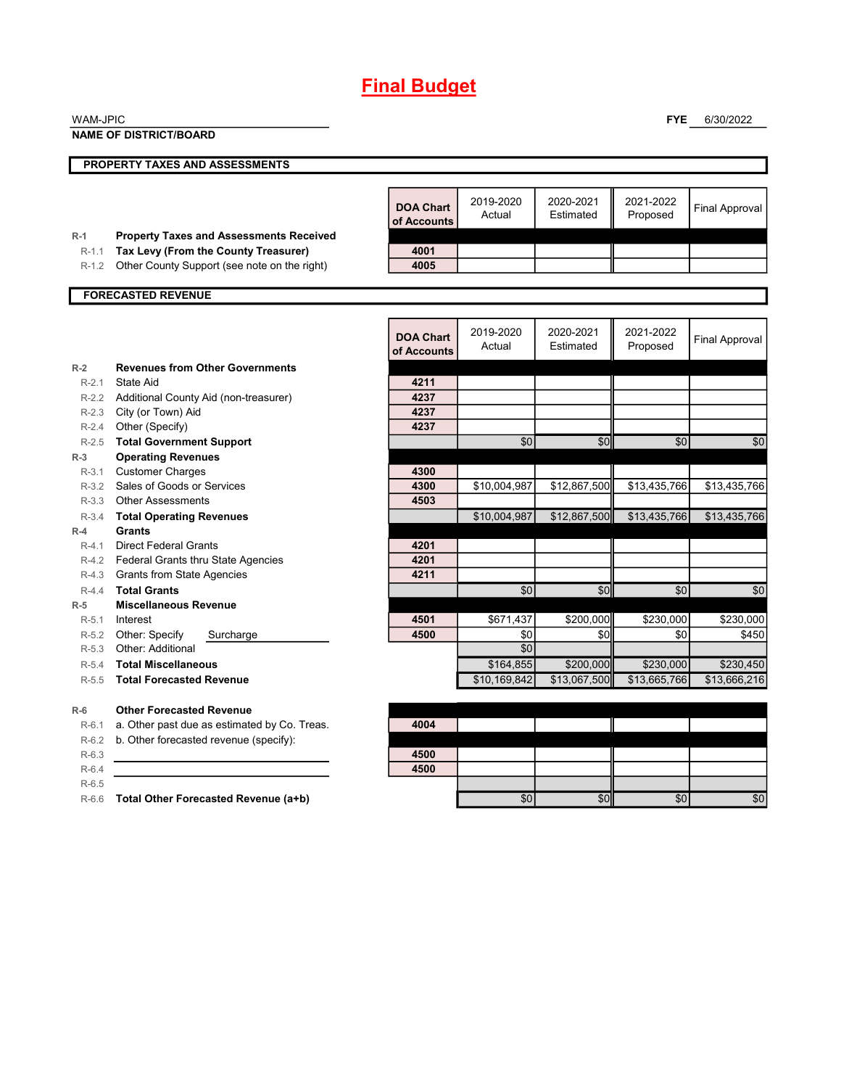| <b>WAM-JPIC</b>  |                                                     |                                 |              |              | <b>FYE</b>   | 6/30/2022             |
|------------------|-----------------------------------------------------|---------------------------------|--------------|--------------|--------------|-----------------------|
|                  | <b>NAME OF DISTRICT/BOARD</b>                       |                                 |              |              |              |                       |
|                  |                                                     |                                 |              |              |              |                       |
|                  | PROPERTY TAXES AND ASSESSMENTS                      |                                 |              |              |              |                       |
|                  |                                                     |                                 |              |              |              |                       |
|                  |                                                     | <b>DOA Chart</b>                | 2019-2020    | 2020-2021    | 2021-2022    |                       |
|                  |                                                     | of Accounts                     | Actual       | Estimated    | Proposed     | <b>Final Approval</b> |
| $R-1$            | <b>Property Taxes and Assessments Received</b>      |                                 |              |              |              |                       |
| $R-1.1$          | Tax Levy (From the County Treasurer)                | 4001                            |              |              |              |                       |
| $R-1.2$          | Other County Support (see note on the right)        | 4005                            |              |              |              |                       |
|                  |                                                     |                                 |              |              |              |                       |
|                  | <b>FORECASTED REVENUE</b>                           |                                 |              |              |              |                       |
|                  |                                                     |                                 |              |              |              |                       |
|                  |                                                     |                                 | 2019-2020    | 2020-2021    | 2021-2022    |                       |
|                  |                                                     | <b>DOA Chart</b><br>of Accounts | Actual       | Estimated    | Proposed     | <b>Final Approval</b> |
|                  |                                                     |                                 |              |              |              |                       |
| $R-2$<br>$R-2.1$ | <b>Revenues from Other Governments</b><br>State Aid | 4211                            |              |              |              |                       |
|                  | R-2.2 Additional County Aid (non-treasurer)         | 4237                            |              |              |              |                       |
|                  | R-2.3 City (or Town) Aid                            | 4237                            |              |              |              |                       |
| $R-2.4$          | Other (Specify)                                     | 4237                            |              |              |              |                       |
| $R-2.5$          | <b>Total Government Support</b>                     |                                 | \$0          | \$0          | \$0          | \$0                   |
| $R-3$            | <b>Operating Revenues</b>                           |                                 |              |              |              |                       |
| $R-3.1$          | <b>Customer Charges</b>                             | 4300                            |              |              |              |                       |
|                  | R-3.2 Sales of Goods or Services                    | 4300                            | \$10,004,987 | \$12,867,500 | \$13,435,766 | \$13,435,766          |
| $R-3.3$          | <b>Other Assessments</b>                            | 4503                            |              |              |              |                       |
| $R-3.4$          | <b>Total Operating Revenues</b>                     |                                 | \$10,004,987 | \$12,867,500 | \$13,435,766 | \$13,435,766          |
| $R-4$            | Grants                                              |                                 |              |              |              |                       |
| $R-4.1$          | <b>Direct Federal Grants</b>                        | 4201                            |              |              |              |                       |
|                  | R-4.2 Federal Grants thru State Agencies            | 4201                            |              |              |              |                       |
| $R-4.3$          | <b>Grants from State Agencies</b>                   | 4211                            |              |              |              |                       |
| $R-4.4$          | <b>Total Grants</b>                                 |                                 | \$0          | \$0          | \$0          | \$0                   |
| $R-5$            | <b>Miscellaneous Revenue</b>                        |                                 |              |              |              |                       |
| $R-5.1$          | Interest                                            | 4501                            | \$671,437    | \$200,000    | \$230,000    | \$230,000             |
| $R-5.2$          | Other: Specify<br>Surcharge                         | 4500                            | \$0          | \$0          | \$0          | \$450                 |
| $R-5.3$          | Other: Additional                                   |                                 | \$0          |              |              |                       |
| $R-5.4$          | <b>Total Miscellaneous</b>                          |                                 | \$164,855    | \$200,000    | \$230,000    | \$230,450             |
| $R-5.5$          | <b>Total Forecasted Revenue</b>                     |                                 | \$10,169,842 | \$13,067,500 | \$13,665,766 | \$13,666,216          |
| $R-6$            | <b>Other Forecasted Revenue</b>                     |                                 |              |              |              |                       |
| $R-6.1$          | a. Other past due as estimated by Co. Treas.        | 4004                            |              |              |              |                       |
| $R-6.2$          | b. Other forecasted revenue (specify):              |                                 |              |              |              |                       |
| $R-6.3$          |                                                     | 4500                            |              |              |              |                       |
| $R-6.4$          |                                                     | 4500                            |              |              |              |                       |
| $R-6.5$          |                                                     |                                 |              |              |              |                       |
|                  | R-6.6 Total Other Forecasted Revenue (a+b)          |                                 | \$0          | \$0          | \$0          | \$0                   |
|                  |                                                     |                                 |              |              |              |                       |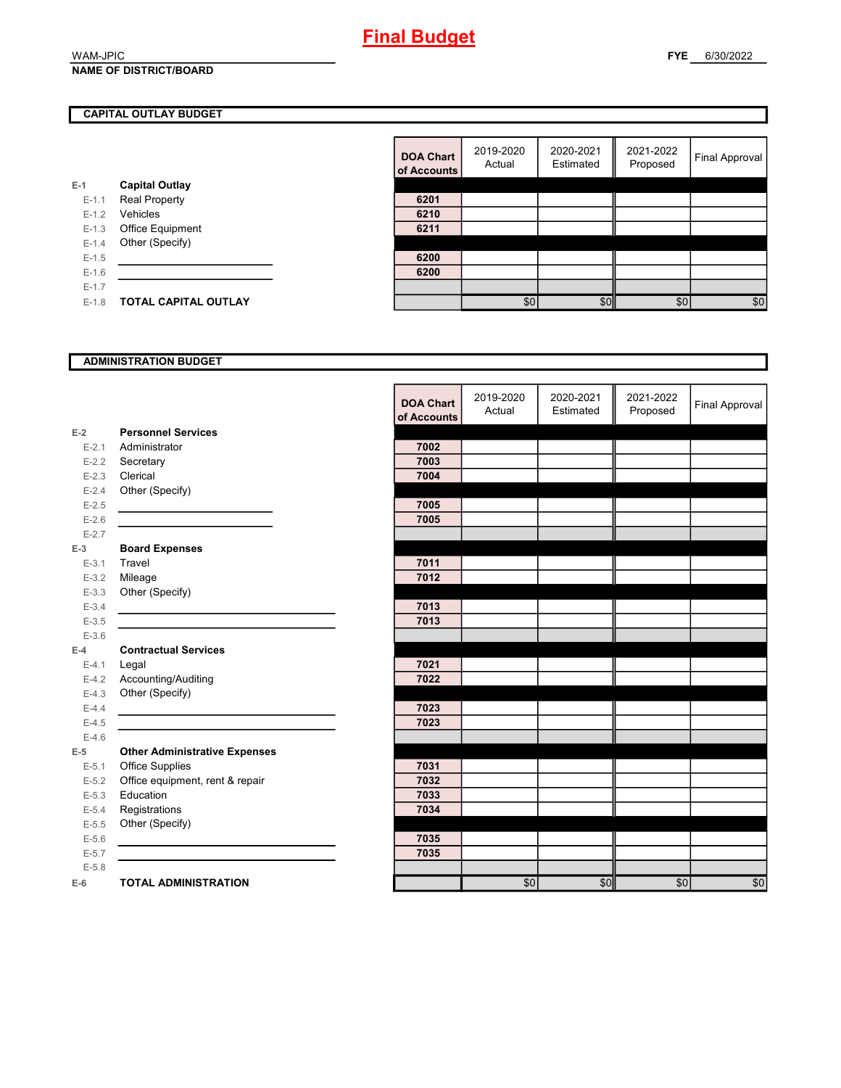#### WAM-JPIC **NAME OF DISTRICT/BOARD**

## **CAPITAL OUTLAY BUDGET**

|           |                       | vi rwyvu |
|-----------|-----------------------|----------|
| $E-1$     | <b>Capital Outlay</b> |          |
| $E - 1.1$ | <b>Real Property</b>  | 6201     |
| $E - 1.2$ | Vehicles              | 6210     |
| $E-1.3$   | Office Equipment      | 6211     |
| $E - 1.4$ | Other (Specify)       |          |
| $E-1.5$   |                       | 6200     |
| $E - 1.6$ |                       | 6200     |
| $E - 1.7$ |                       |          |
| $E-1.8$   | TOTAL CAPITAL OUTLAY  |          |
|           |                       |          |

| <b>DOA Chart</b><br>of Accounts | 2019-2020<br>Actual | 2020-2021<br>Estimated | 2021-2022<br>Proposed | <b>Final Approval</b> |
|---------------------------------|---------------------|------------------------|-----------------------|-----------------------|
|                                 |                     |                        |                       |                       |
| 6201                            |                     |                        |                       |                       |
| 6210                            |                     |                        |                       |                       |
| 6211                            |                     |                        |                       |                       |
|                                 |                     |                        |                       |                       |
| 6200                            |                     |                        |                       |                       |
| 6200                            |                     |                        |                       |                       |
|                                 |                     |                        |                       |                       |
|                                 | \$0                 | \$0                    | \$0                   | \$0                   |

## **ADMINISTRATION BUDGET**

|           |                                      | <b>DOA Chart</b><br>of Accounts | 2019-2020<br>Actual | 2020-2021<br>Estimated | 2021-2022<br>Proposed | <b>Final Approval</b> |
|-----------|--------------------------------------|---------------------------------|---------------------|------------------------|-----------------------|-----------------------|
| $E-2$     | <b>Personnel Services</b>            |                                 |                     |                        |                       |                       |
| $E - 2.1$ | Administrator                        | 7002                            |                     |                        |                       |                       |
| $E - 2.2$ | Secretary                            | 7003                            |                     |                        |                       |                       |
| $E-2.3$   | Clerical                             | 7004                            |                     |                        |                       |                       |
| $E - 2.4$ | Other (Specify)                      |                                 |                     |                        |                       |                       |
| $E-2.5$   |                                      | 7005                            |                     |                        |                       |                       |
| $E-2.6$   |                                      | 7005                            |                     |                        |                       |                       |
| $E - 2.7$ |                                      |                                 |                     |                        |                       |                       |
| $E-3$     | <b>Board Expenses</b>                |                                 |                     |                        |                       |                       |
| $E - 3.1$ | Travel                               | 7011                            |                     |                        |                       |                       |
| $E - 3.2$ | Mileage                              | 7012                            |                     |                        |                       |                       |
| $E - 3.3$ | Other (Specify)                      |                                 |                     |                        |                       |                       |
| $E - 3.4$ |                                      | 7013                            |                     |                        |                       |                       |
| $E - 3.5$ |                                      | 7013                            |                     |                        |                       |                       |
| $E - 3.6$ |                                      |                                 |                     |                        |                       |                       |
| $E-4$     | <b>Contractual Services</b>          |                                 |                     |                        |                       |                       |
| $E - 4.1$ | Legal                                | 7021                            |                     |                        |                       |                       |
| $E-4.2$   | Accounting/Auditing                  | 7022                            |                     |                        |                       |                       |
| $E-4.3$   | Other (Specify)                      |                                 |                     |                        |                       |                       |
| $E-4.4$   |                                      | 7023                            |                     |                        |                       |                       |
| $E-4.5$   |                                      | 7023                            |                     |                        |                       |                       |
| $E-4.6$   |                                      |                                 |                     |                        |                       |                       |
| $E-5$     | <b>Other Administrative Expenses</b> |                                 |                     |                        |                       |                       |
| $E - 5.1$ | <b>Office Supplies</b>               | 7031                            |                     |                        |                       |                       |
| $E-5.2$   | Office equipment, rent & repair      | 7032                            |                     |                        |                       |                       |
| $E-5.3$   | Education                            | 7033                            |                     |                        |                       |                       |
| $E - 5.4$ | Registrations                        | 7034                            |                     |                        |                       |                       |
| $E - 5.5$ | Other (Specify)                      |                                 |                     |                        |                       |                       |
| $E - 5.6$ |                                      | 7035                            |                     |                        |                       |                       |
| $E - 5.7$ |                                      | 7035                            |                     |                        |                       |                       |
| $E - 5.8$ |                                      |                                 |                     |                        |                       |                       |
| $E-6$     | <b>TOTAL ADMINISTRATION</b>          |                                 | \$0                 | \$0                    | \$0                   | \$0                   |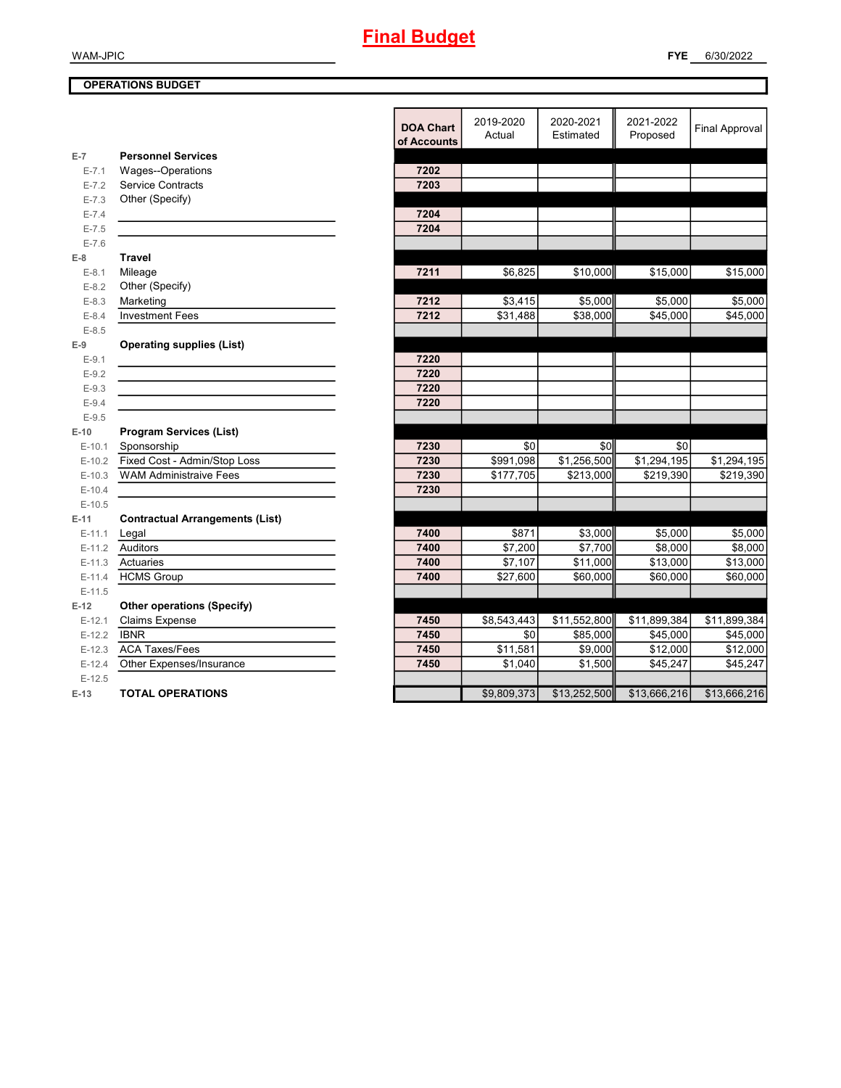## WAM-JPIC

## **OPERATIONS BUDGET**

|           |                                        | <b>DOA Chart</b><br>of Accounts | 2019-2020<br>Actual | 2020-2021<br>Estimated | 2021-2022<br>Proposed | <b>Final Approval</b> |
|-----------|----------------------------------------|---------------------------------|---------------------|------------------------|-----------------------|-----------------------|
| $E-7$     | <b>Personnel Services</b>              |                                 |                     |                        |                       |                       |
| $E - 7.1$ | Wages--Operations                      | 7202                            |                     |                        |                       |                       |
| $E - 7.2$ | <b>Service Contracts</b>               | 7203                            |                     |                        |                       |                       |
| $E - 7.3$ | Other (Specify)                        |                                 |                     |                        |                       |                       |
| $E - 7.4$ |                                        | 7204                            |                     |                        |                       |                       |
| $E - 7.5$ |                                        | 7204                            |                     |                        |                       |                       |
| $E - 7.6$ |                                        |                                 |                     |                        |                       |                       |
| $E-8$     | <b>Travel</b>                          |                                 |                     |                        |                       |                       |
| $E-8.1$   | Mileage                                | 7211                            | \$6,825             | \$10,000               | \$15,000              | \$15,000              |
| $E-8.2$   | Other (Specify)                        |                                 |                     |                        |                       |                       |
| $E-8.3$   | Marketing                              | 7212                            | \$3,415             | \$5,000                | \$5,000               | \$5,000               |
| $E - 8.4$ | <b>Investment Fees</b>                 | 7212                            | \$31,488            | \$38,000               | \$45,000              | \$45,000              |
| $E - 8.5$ |                                        |                                 |                     |                        |                       |                       |
| $E-9$     | <b>Operating supplies (List)</b>       |                                 |                     |                        |                       |                       |
| $E-9.1$   |                                        | 7220                            |                     |                        |                       |                       |
| $E-9.2$   |                                        | 7220                            |                     |                        |                       |                       |
| $E-9.3$   |                                        | 7220                            |                     |                        |                       |                       |
| $E-9.4$   |                                        | 7220                            |                     |                        |                       |                       |
| $E-9.5$   |                                        |                                 |                     |                        |                       |                       |
| $E-10$    | <b>Program Services (List)</b>         |                                 |                     |                        |                       |                       |
| $E-10.1$  | Sponsorship                            | 7230                            | \$0                 | \$0                    | \$0                   |                       |
| $E-10.2$  | Fixed Cost - Admin/Stop Loss           | 7230                            | \$991,098           | \$1,256,500            | \$1,294,195           | \$1,294,195           |
| $E-10.3$  | <b>WAM Administraive Fees</b>          | 7230                            | \$177,705           | \$213,000              | \$219,390             | \$219,390             |
| $E-10.4$  |                                        | 7230                            |                     |                        |                       |                       |
| $E-10.5$  |                                        |                                 |                     |                        |                       |                       |
| $E-11$    | <b>Contractual Arrangements (List)</b> |                                 |                     |                        |                       |                       |
| $E-11.1$  | Legal                                  | 7400                            | \$871               | \$3,000                | \$5,000               | \$5,000               |
| $E-11.2$  | Auditors                               | 7400                            | \$7,200             | \$7,700                | \$8,000               | \$8,000               |
| $E-11.3$  | Actuaries                              | 7400                            | \$7,107             | \$11,000               | \$13,000              | \$13,000              |
| $E-11.4$  | <b>HCMS Group</b>                      | 7400                            | \$27,600            | \$60,000               | \$60,000              | \$60,000              |
| $E-11.5$  |                                        |                                 |                     |                        |                       |                       |
| $E-12$    | <b>Other operations (Specify)</b>      |                                 |                     |                        |                       |                       |
| $E-12.1$  | <b>Claims Expense</b>                  | 7450                            | \$8,543,443         | \$11,552,800           | \$11,899,384          | \$11,899,384          |
| $E-12.2$  | <b>IBNR</b>                            | 7450                            | \$0                 | \$85,000               | \$45,000              | \$45,000              |
| $E-12.3$  | <b>ACA Taxes/Fees</b>                  | 7450                            | \$11,581            | \$9,000                | \$12,000              | \$12,000              |
| $E-12.4$  | Other Expenses/Insurance               | 7450                            | \$1,040             | \$1,500                | \$45,247              | \$45,247              |
| $E-12.5$  |                                        |                                 |                     |                        |                       |                       |
| $E-13$    | <b>TOTAL OPERATIONS</b>                |                                 | \$9,809,373         | \$13,252,500           | \$13,666,216          | \$13,666,216          |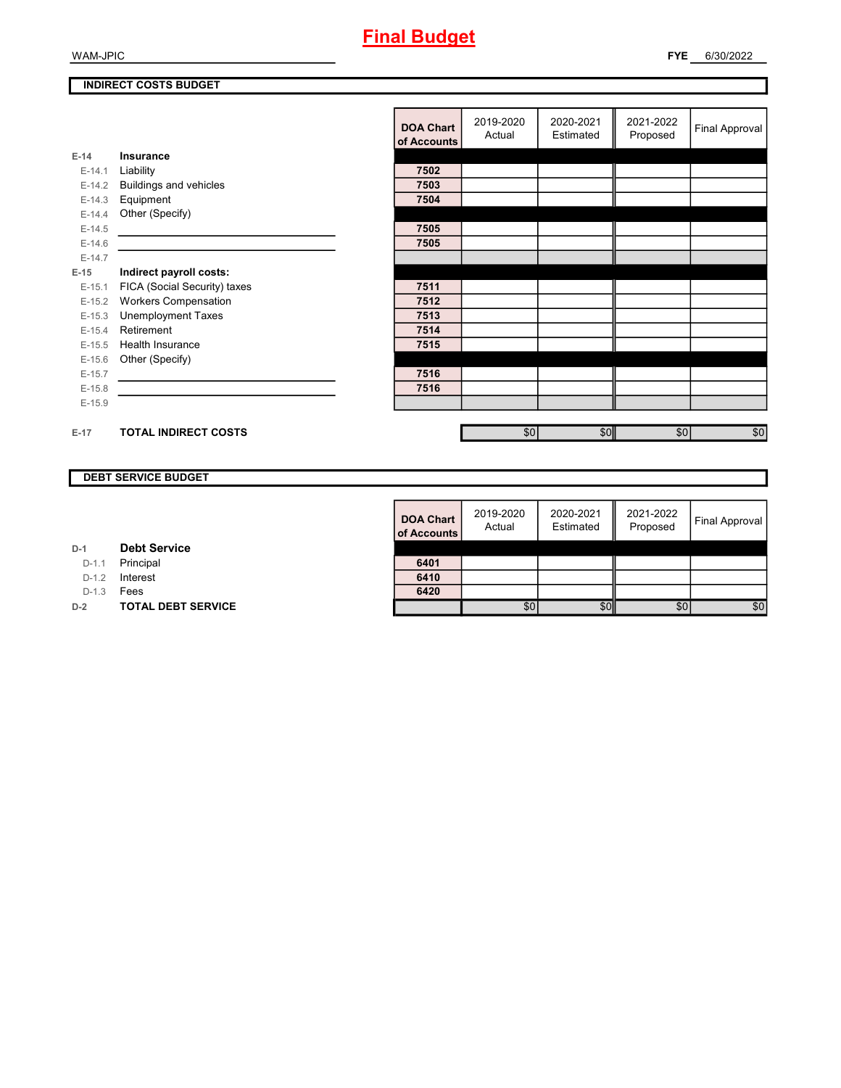## **FYE** 6/30/2022

## **INDIRECT COSTS BUDGET**

|          |                              | <b>DOA Chart</b><br>of Accounts | 2019-2020<br>Actual | 2020-2021<br>Estimated | 2021-2022<br>Proposed | Final Approval |
|----------|------------------------------|---------------------------------|---------------------|------------------------|-----------------------|----------------|
| $E-14$   | Insurance                    |                                 |                     |                        |                       |                |
| $E-14.1$ | Liability                    | 7502                            |                     |                        |                       |                |
| $E-14.2$ | Buildings and vehicles       | 7503                            |                     |                        |                       |                |
| $E-14.3$ | Equipment                    | 7504                            |                     |                        |                       |                |
| $E-14.4$ | Other (Specify)              |                                 |                     |                        |                       |                |
| $E-14.5$ |                              | 7505                            |                     |                        |                       |                |
| $E-14.6$ |                              | 7505                            |                     |                        |                       |                |
| $E-14.7$ |                              |                                 |                     |                        |                       |                |
| $E-15$   | Indirect payroll costs:      |                                 |                     |                        |                       |                |
| $E-15.1$ | FICA (Social Security) taxes | 7511                            |                     |                        |                       |                |
| $E-15.2$ | <b>Workers Compensation</b>  | 7512                            |                     |                        |                       |                |
| $E-15.3$ | <b>Unemployment Taxes</b>    | 7513                            |                     |                        |                       |                |
| $E-15.4$ | Retirement                   | 7514                            |                     |                        |                       |                |
| $E-15.5$ | <b>Health Insurance</b>      | 7515                            |                     |                        |                       |                |
| $E-15.6$ | Other (Specify)              |                                 |                     |                        |                       |                |
| $E-15.7$ |                              | 7516                            |                     |                        |                       |                |
| $E-15.8$ |                              | 7516                            |                     |                        |                       |                |
| $E-15.9$ |                              |                                 |                     |                        |                       |                |
|          |                              |                                 |                     |                        |                       |                |
| $E-17$   | <b>TOTAL INDIRECT COSTS</b>  |                                 | \$0                 | \$0                    | \$0                   | \$0            |
|          |                              |                                 |                     |                        |                       |                |

## **DEBT SERVICE BUDGET**

| <b>DOA Chart</b><br>of Accounts | 2019-2020<br>Actual | 2020-2021<br>Estimated | 2021-2022<br>Proposed | <b>Final Approval</b> |
|---------------------------------|---------------------|------------------------|-----------------------|-----------------------|
| 6401                            |                     |                        |                       |                       |
| 6410                            |                     |                        |                       |                       |
| 6420                            |                     |                        |                       |                       |
|                                 | \$0                 |                        | \$0                   | \$0                   |

| D-1 |  | <b>Debt Service</b> |  |
|-----|--|---------------------|--|
|-----|--|---------------------|--|

D-1.1 **Principal** 

D-1.2 **Interest** 

D-1.3 **Fees** 

**D-2 TOTAL DEBT SERVICE**